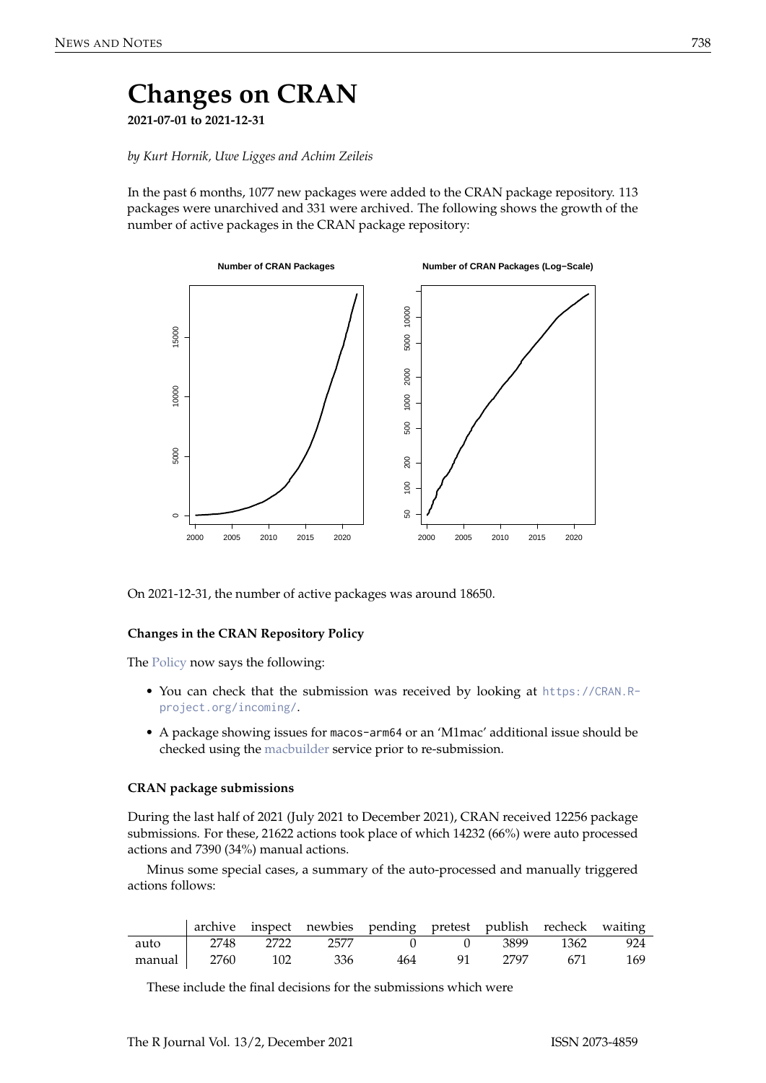# **Changes on CRAN 2021-07-01 to 2021-12-31**

*by Kurt Hornik, Uwe Ligges and Achim Zeileis*

In the past 6 months, 1077 new packages were added to the CRAN package repository. 113 packages were unarchived and 331 were archived. The following shows the growth of the number of active packages in the CRAN package repository:



On 2021-12-31, the number of active packages was around 18650.

## **Changes in the CRAN Repository Policy**

The [Policy](https://CRAN.R-project.org/web/packages/policies.html) now says the following:

- You can check that the submission was received by looking at [https://CRAN.R](https://CRAN.R-project.org/incoming/)[project.org/incoming/](https://CRAN.R-project.org/incoming/).
- A package showing issues for macos-arm64 or an 'M1mac' additional issue should be checked using the [macbuilder](https://mac.r-project.org/macbuilder/submit.html) service prior to re-submission.

### **CRAN package submissions**

During the last half of 2021 (July 2021 to December 2021), CRAN received 12256 package submissions. For these, 21622 actions took place of which 14232 (66%) were auto processed actions and 7390 (34%) manual actions.

Minus some special cases, a summary of the auto-processed and manually triggered actions follows:

|                 |  |     | archive inspect newbies pending pretest publish recheck waiting |      |      |               |     |
|-----------------|--|-----|-----------------------------------------------------------------|------|------|---------------|-----|
| auto            |  |     | 2748 2722 2577 0                                                |      |      | 3899 1362 924 |     |
| manual 2760 102 |  | 336 | 464                                                             | - 91 | 2797 | -671          | 169 |

These include the final decisions for the submissions which were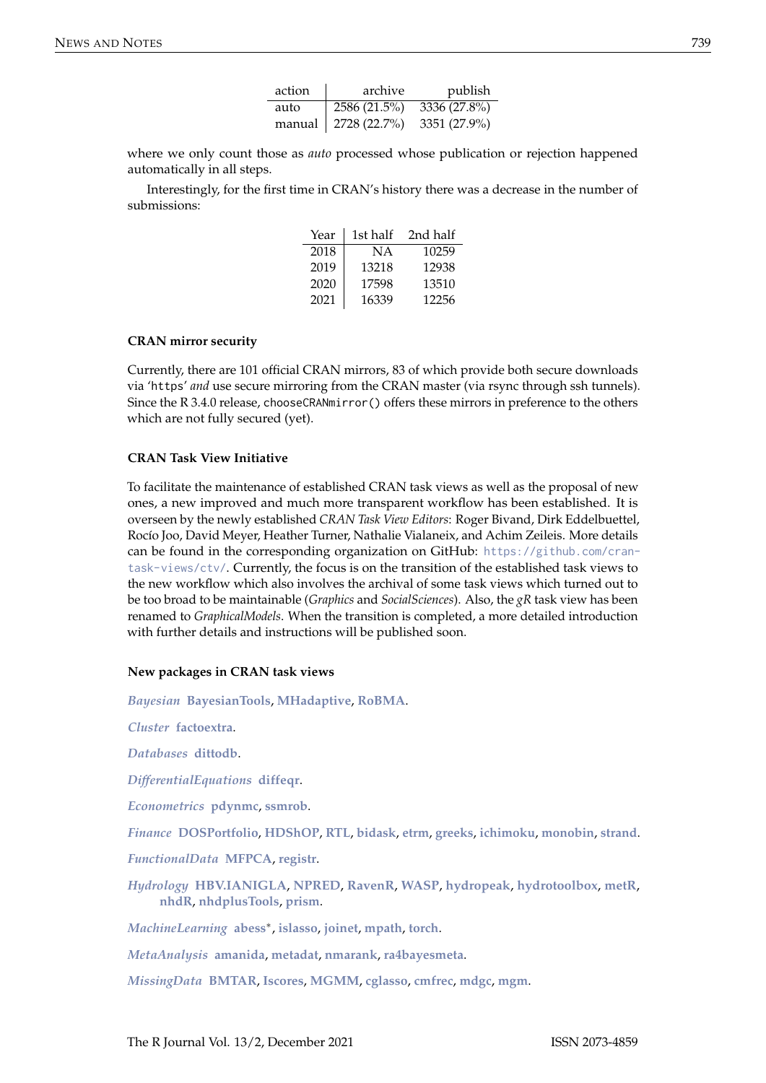| action | archive      | publish      |
|--------|--------------|--------------|
| auto   | 2586 (21.5%) | 3336 (27.8%) |
| manual | 2728 (22.7%) | 3351 (27.9%) |

where we only count those as *auto* processed whose publication or rejection happened automatically in all steps.

Interestingly, for the first time in CRAN's history there was a decrease in the number of submissions:

| Year | 1st half | 2nd half |
|------|----------|----------|
| 2018 | NА       | 10259    |
| 2019 | 13218    | 12938    |
| 2020 | 17598    | 13510    |
| 2021 | 16339    | 12256    |

### **CRAN mirror security**

Currently, there are 101 official CRAN mirrors, 83 of which provide both secure downloads via 'https' *and* use secure mirroring from the CRAN master (via rsync through ssh tunnels). Since the R 3.4.0 release, chooseCRANmirror() offers these mirrors in preference to the others which are not fully secured (yet).

#### **CRAN Task View Initiative**

To facilitate the maintenance of established CRAN task views as well as the proposal of new ones, a new improved and much more transparent workflow has been established. It is overseen by the newly established *CRAN Task View Editors*: Roger Bivand, Dirk Eddelbuettel, Rocío Joo, David Meyer, Heather Turner, Nathalie Vialaneix, and Achim Zeileis. More details can be found in the corresponding organization on GitHub: [https://github.com/cran](https://github.com/cran-task-views/ctv/)[task-views/ctv/](https://github.com/cran-task-views/ctv/). Currently, the focus is on the transition of the established task views to the new workflow which also involves the archival of some task views which turned out to be too broad to be maintainable (*Graphics* and *SocialSciences*). Also, the *gR* task view has been renamed to *GraphicalModels*. When the transition is completed, a more detailed introduction with further details and instructions will be published soon.

#### **New packages in CRAN task views**

*[Bayesian](https://CRAN.R-project.org/view=Bayesian)* **[BayesianTools](https://CRAN.R-project.org/package=BayesianTools)**, **[MHadaptive](https://CRAN.R-project.org/package=MHadaptive)**, **[RoBMA](https://CRAN.R-project.org/package=RoBMA)**.

*[Cluster](https://CRAN.R-project.org/view=Cluster)* **[factoextra](https://CRAN.R-project.org/package=factoextra)**.

*[Databases](https://CRAN.R-project.org/view=Databases)* **[dittodb](https://CRAN.R-project.org/package=dittodb)**.

*[DifferentialEquations](https://CRAN.R-project.org/view=DifferentialEquations)* **[diffeqr](https://CRAN.R-project.org/package=diffeqr)**.

*[Econometrics](https://CRAN.R-project.org/view=Econometrics)* **[pdynmc](https://CRAN.R-project.org/package=pdynmc)**, **[ssmrob](https://CRAN.R-project.org/package=ssmrob)**.

*[Finance](https://CRAN.R-project.org/view=Finance)* **[DOSPortfolio](https://CRAN.R-project.org/package=DOSPortfolio)**, **[HDShOP](https://CRAN.R-project.org/package=HDShOP)**, **[RTL](https://CRAN.R-project.org/package=RTL)**, **[bidask](https://CRAN.R-project.org/package=bidask)**, **[etrm](https://CRAN.R-project.org/package=etrm)**, **[greeks](https://CRAN.R-project.org/package=greeks)**, **[ichimoku](https://CRAN.R-project.org/package=ichimoku)**, **[monobin](https://CRAN.R-project.org/package=monobin)**, **[strand](https://CRAN.R-project.org/package=strand)**.

*[FunctionalData](https://CRAN.R-project.org/view=FunctionalData)* **[MFPCA](https://CRAN.R-project.org/package=MFPCA)**, **[registr](https://CRAN.R-project.org/package=registr)**.

*[Hydrology](https://CRAN.R-project.org/view=Hydrology)* **[HBV.IANIGLA](https://CRAN.R-project.org/package=HBV.IANIGLA)**, **[NPRED](https://CRAN.R-project.org/package=NPRED)**, **[RavenR](https://CRAN.R-project.org/package=RavenR)**, **[WASP](https://CRAN.R-project.org/package=WASP)**, **[hydropeak](https://CRAN.R-project.org/package=hydropeak)**, **[hydrotoolbox](https://CRAN.R-project.org/package=hydrotoolbox)**, **[metR](https://CRAN.R-project.org/package=metR)**, **[nhdR](https://CRAN.R-project.org/package=nhdR)**, **[nhdplusTools](https://CRAN.R-project.org/package=nhdplusTools)**, **[prism](https://CRAN.R-project.org/package=prism)**.

*[MachineLearning](https://CRAN.R-project.org/view=MachineLearning)* **[abess](https://CRAN.R-project.org/package=abess)**<sup>∗</sup> , **[islasso](https://CRAN.R-project.org/package=islasso)**, **[joinet](https://CRAN.R-project.org/package=joinet)**, **[mpath](https://CRAN.R-project.org/package=mpath)**, **[torch](https://CRAN.R-project.org/package=torch)**.

*[MetaAnalysis](https://CRAN.R-project.org/view=MetaAnalysis)* **[amanida](https://CRAN.R-project.org/package=amanida)**, **[metadat](https://CRAN.R-project.org/package=metadat)**, **[nmarank](https://CRAN.R-project.org/package=nmarank)**, **[ra4bayesmeta](https://CRAN.R-project.org/package=ra4bayesmeta)**.

*[MissingData](https://CRAN.R-project.org/view=MissingData)* **[BMTAR](https://CRAN.R-project.org/package=BMTAR)**, **[Iscores](https://CRAN.R-project.org/package=Iscores)**, **[MGMM](https://CRAN.R-project.org/package=MGMM)**, **[cglasso](https://CRAN.R-project.org/package=cglasso)**, **[cmfrec](https://CRAN.R-project.org/package=cmfrec)**, **[mdgc](https://CRAN.R-project.org/package=mdgc)**, **[mgm](https://CRAN.R-project.org/package=mgm)**.